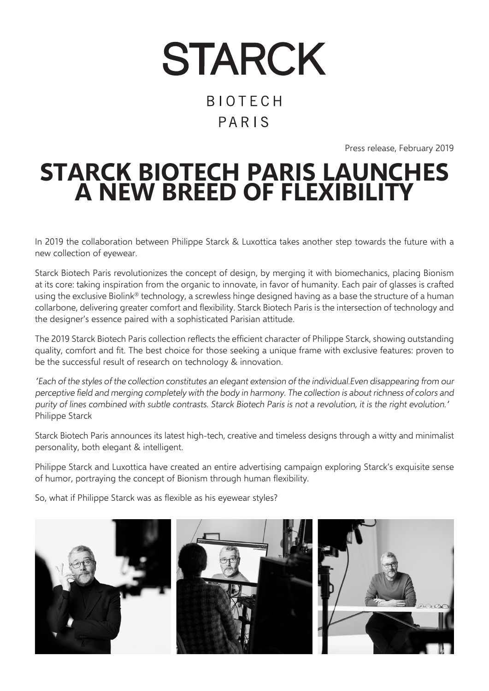# **STARCK BIOTECH** PARIS

Press release, February 2019

# **STARCK BIOTECH PARIS LAUNCHES A NEW BREED OF FLEXIBILITY**

In 2019 the collaboration between Philippe Starck & Luxottica takes another step towards the future with a new collection of eyewear.

Starck Biotech Paris revolutionizes the concept of design, by merging it with biomechanics, placing Bionism at its core: taking inspiration from the organic to innovate, in favor of humanity. Each pair of glasses is crafted using the exclusive Biolink® technology, a screwless hinge designed having as a base the structure of a human collarbone, delivering greater comfort and flexibility. Starck Biotech Paris is the intersection of technology and the designer's essence paired with a sophisticated Parisian attitude.

The 2019 Starck Biotech Paris collection reflects the efficient character of Philippe Starck, showing outstanding quality, comfort and fit. The best choice for those seeking a unique frame with exclusive features: proven to be the successful result of research on technology & innovation.

"Each of the styles of the collection constitutes an elegant extension of the individual.Even disappearing from our perceptive field and merging completely with the body in harmony. The collection is about richness of colors and purity of lines combined with subtle contrasts. Starck Biotech Paris is not a revolution, it is the right evolution." Philippe Starck

Starck Biotech Paris announces its latest high-tech, creative and timeless designs through a witty and minimalist personality, both elegant & intelligent.

Philippe Starck and Luxottica have created an entire advertising campaign exploring Starck's exquisite sense of humor, portraying the concept of Bionism through human flexibility.

So, what if Philippe Starck was as flexible as his eyewear styles?

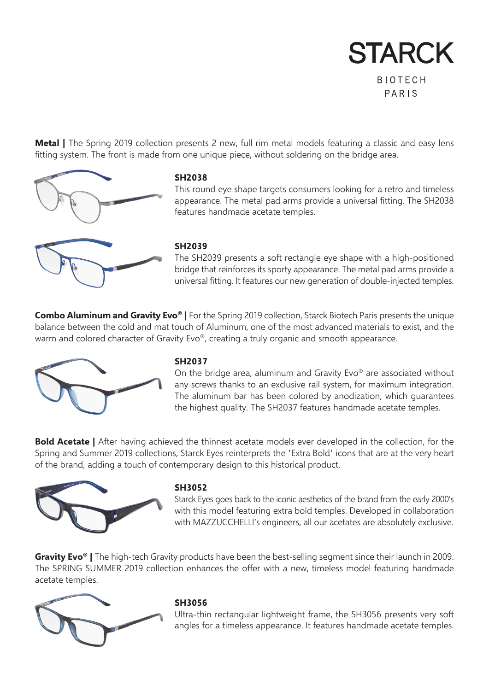**STARCK BIOTECH** 

PARIS

**Metal |** The Spring 2019 collection presents 2 new, full rim metal models featuring a classic and easy lens fitting system. The front is made from one unique piece, without soldering on the bridge area.



### **SH2038**

This round eye shape targets consumers looking for a retro and timeless appearance. The metal pad arms provide a universal fitting. The SH2038 features handmade acetate temples.

### **SH2039**

The SH2039 presents a soft rectangle eye shape with a high-positioned bridge that reinforces its sporty appearance. The metal pad arms provide a universal fitting. It features our new generation of double-injected temples.

**Combo Aluminum and Gravity Evo® |** For the Spring 2019 collection, Starck Biotech Paris presents the unique balance between the cold and mat touch of Aluminum, one of the most advanced materials to exist, and the warm and colored character of Gravity Evo®, creating a truly organic and smooth appearance.



### **SH2037**

On the bridge area, aluminum and Gravity Evo® are associated without any screws thanks to an exclusive rail system, for maximum integration. The aluminum bar has been colored by anodization, which guarantees the highest quality. The SH2037 features handmade acetate temples.

**Bold Acetate |** After having achieved the thinnest acetate models ever developed in the collection, for the Spring and Summer 2019 collections, Starck Eyes reinterprets the "Extra Bold" icons that are at the very heart of the brand, adding a touch of contemporary design to this historical product.



### **SH3052**

Starck Eyes goes back to the iconic aesthetics of the brand from the early 2000's with this model featuring extra bold temples. Developed in collaboration with MAZZUCCHELLI's engineers, all our acetates are absolutely exclusive.

**Gravity Evo<sup>®</sup>** | The high-tech Gravity products have been the best-selling segment since their launch in 2009. The SPRING SUMMER 2019 collection enhances the offer with a new, timeless model featuring handmade acetate temples.



### **SH3056**

Ultra-thin rectangular lightweight frame, the SH3056 presents very soft angles for a timeless appearance. It features handmade acetate temples.